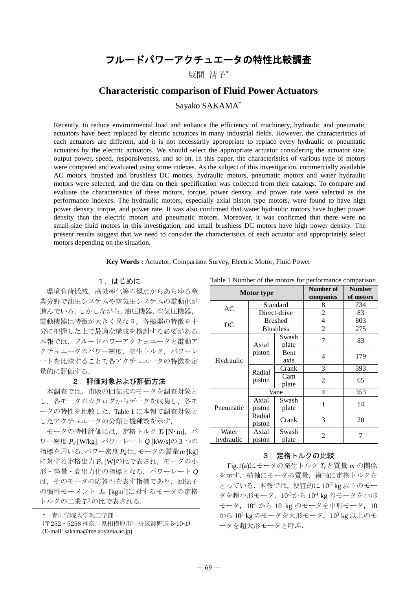# フルードパワーアクチュエータの特性比較調査

坂間 清子\*

# **Characteristic comparison of Fluid Power Actuators**

# Sayako SAKAMA\*

Recently, to reduce environmental load and enhance the efficiency of machinery, hydraulic and pneumatic actuators have been replaced by electric actuators in many industrial fields. However, the characteristics of each actuators are different, and it is not necessarily appropriate to replace every hydraulic or pneumatic actuators by the electric actuators. We should select the appropriate actuator considering the actuator size, output power, speed, responsiveness, and so on. In this paper, the characteristics of various type of motors were compared and evaluated using some indexes. As the subject of this investigation, commercially available AC motors, brushed and brushless DC motors, hydraulic motors, pneumatic motors and water hydraulic motors were selected, and the data on their specification was collected from their catalogs. To compare and evaluate the characteristics of these motors, torque, power density, and power rate were selected as the performance indexes. The hydraulic motors, especially axial piston type motors, were found to have high power density, torque, and power rate. It was also confirmed that water hydraulic motors have higher power density than the electric motors and pneumatic motors. Moreover, it was confirmed that there were no small-size fluid motors in this investigation, and small brushless DC motors have high power density. The present results suggest that we need to consider the characteristics of each actuator and appropriately select motors depending on the situation.

#### **Key Words** : Actuator, Comparison Survey, Electric Motor, Fluid Power

### 1.はじめに

環境負荷低減,高効率化等の観点からあらゆる産 業分野で油圧システムや空気圧システムの電動化が 進んでいる.しかしながら,油圧機器,空気圧機器, 電動機器は特徴が大きく異なり,各機器の特徴を十 分に把握した上で最適な構成を検討する必要がある. 本報では,フルードパワーアクチュエータと電動ア クチュエータのパワー密度、発生トルク、パワーレ ートを比較することで各アクチュエータの特徴を定 量的に評価する.

#### 2.評価対象および評価方法

本調査では,市販の回転式のモータを調査対象と し、各モータのカタログからデータを収集し、各モ ータの特性を比較した.Table 1 に本報で調査対象と したアクチュエータの分類と機種数を示す.

モータの特性評価には、定格トルク T<sub>r</sub> [N·m], パ ワー密度 *P<sup>d</sup>* [W/kg],パワーレート *Q* [kW/s]の 3 つの 指標を用いる.パワー密度*Pd*は,モータの質量*m* [kg] に対する定格出力 *P<sup>r</sup>* [W]の比で表され,モータの小 形・軽量・高出力化の指標となる.パワーレート *Q* は,そのモータの応答性を表す指標であり,回転子 の慣性モーメント *J<sup>m</sup>* [kgm<sup>2</sup> ]に対するモータの定格 トルクの二乗 *T<sup>r</sup>* <sup>2</sup>の比で表される.

\* 青山学院大学理工学部

(〒252‐5258 神奈川県相模原市中央区淵野辺 5-10-1)

Table 1 Number of the motors for performance comparison

| Motor type         |                  |                | Number of<br>companies | <b>Number</b><br>of motors |
|--------------------|------------------|----------------|------------------------|----------------------------|
| AC                 | Standard         |                | 8                      | 734                        |
|                    | Direct-drive     |                | 2                      | 83                         |
| DC                 | <b>Brushed</b>   |                | 4                      | 803                        |
|                    | <b>Blushless</b> |                | $\overline{c}$         | 275                        |
| Hydraulic          | Axial<br>piston  | Swash<br>plate | 7                      | 83                         |
|                    |                  | Bent<br>axis   | 4                      | 179                        |
|                    | Radial<br>piston | Crank          | 3                      | 393                        |
|                    |                  | Cam<br>plate   | $\overline{c}$         | 65                         |
| Pneumatic          | Vane             |                | 4                      | 353                        |
|                    | Axial<br>piston  | Swash<br>plate | 1                      | 14                         |
|                    | Radial<br>piston | Crank          | 3                      | 20                         |
| Water<br>hydraulic | Axial<br>piston  | Swash<br>plate | $\overline{c}$         |                            |

#### 3. 定格トルクの比較

Fig.1(a)にモータの発生トルク *Tr*と質量 *m* の関係 を示す.横軸にモータの質量,縦軸に定格トルクを とっている. 本報では, 便宜的に 10<sup>-3</sup> kg 以下のモー タを超小形モータ, 10<sup>-3</sup>から 10<sup>-1</sup> kg のモータを小形 モータ, 10<sup>1</sup>から 10 kg のモータを中形モータ, 10 から 10<sup>3</sup> kg のモータを大形モータ,10<sup>3</sup> kg 以上のモ ータを超大形モータと呼ぶ.

<sup>(</sup>E-mail: sakama@me.aoyama.ac.jp)